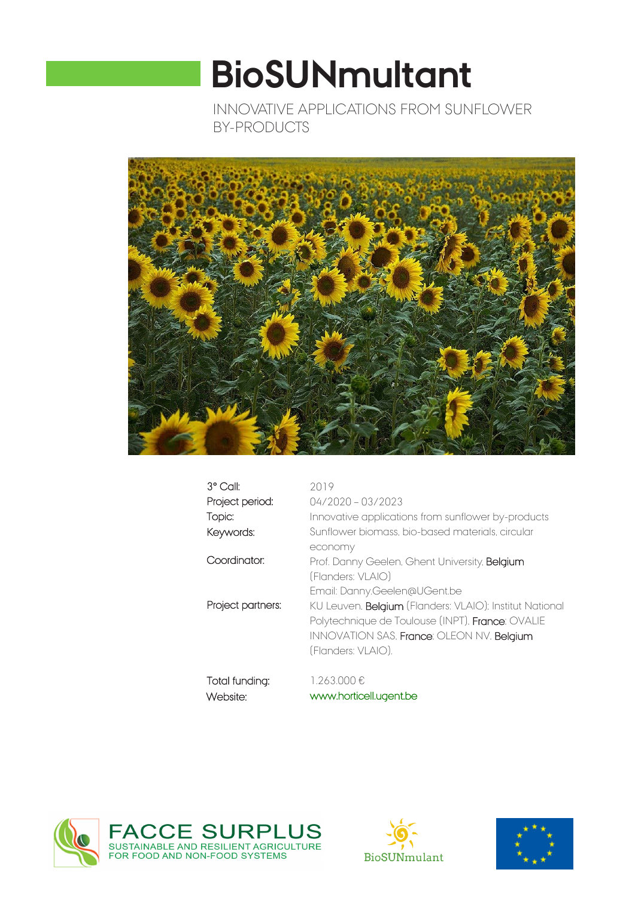# **BioSUNmultant**

INNOVATIVE APPLICATIONS FROM SUNFLOWER BY-PRODUCTS



| $3^{\circ}$ Call:          | 2019                                                                                                                                                                                  |
|----------------------------|---------------------------------------------------------------------------------------------------------------------------------------------------------------------------------------|
| Project period:            | $04/2020 - 03/2023$                                                                                                                                                                   |
| Topic:                     | Innovative applications from sunflower by-products                                                                                                                                    |
| Keywords:                  | Sunflower biomass, bio-based materials, circular                                                                                                                                      |
|                            | economy                                                                                                                                                                               |
| Coordinator:               | Prof. Danny Geelen, Ghent University, <b>Belgium</b><br>(Flanders: VLAIO)                                                                                                             |
|                            | Email: Danny.Geelen@UGent.be                                                                                                                                                          |
| Project partners:          | KU Leuven, <b>Belgium</b> (Flanders: VLAIO); Institut National<br>Polytechnique de Toulouse (INPT), France; OVALIE<br>INNOVATION SAS, France; OLEON NV, Belgium<br>(Flanders: VLAIO). |
| Total funding:<br>Website: | 1.263.000€<br>www.horticell.ugent.be                                                                                                                                                  |